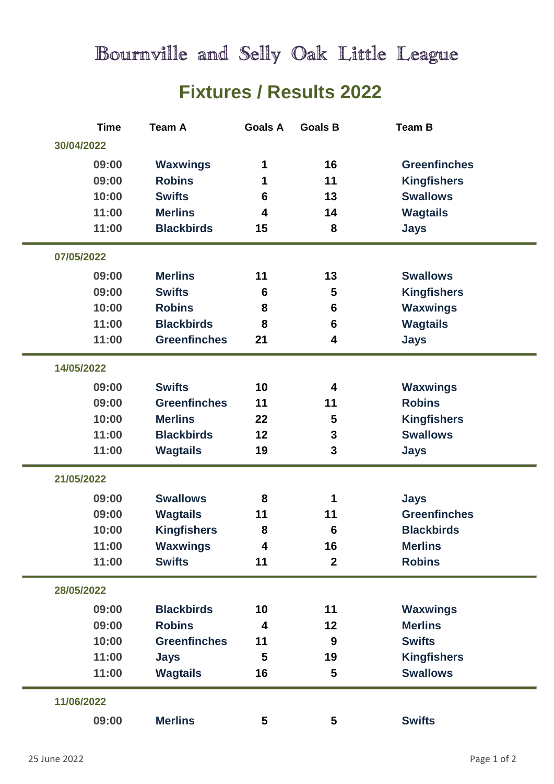Bournville and Selly Oak Little League

## **Fixtures / Results 2022**

| <b>Time</b> | <b>Team A</b>       | <b>Goals A</b>          | <b>Goals B</b>          | <b>Team B</b>       |  |
|-------------|---------------------|-------------------------|-------------------------|---------------------|--|
| 30/04/2022  |                     |                         |                         |                     |  |
| 09:00       | <b>Waxwings</b>     | 1                       | 16                      | <b>Greenfinches</b> |  |
| 09:00       | <b>Robins</b>       | 1                       | 11                      | <b>Kingfishers</b>  |  |
| 10:00       | <b>Swifts</b>       | 6                       | 13                      | <b>Swallows</b>     |  |
| 11:00       | <b>Merlins</b>      | 4                       | 14                      | <b>Wagtails</b>     |  |
| 11:00       | <b>Blackbirds</b>   | 15                      | 8                       | <b>Jays</b>         |  |
| 07/05/2022  |                     |                         |                         |                     |  |
| 09:00       | <b>Merlins</b>      | 11                      | 13                      | <b>Swallows</b>     |  |
| 09:00       | <b>Swifts</b>       | 6                       | 5                       | <b>Kingfishers</b>  |  |
| 10:00       | <b>Robins</b>       | 8                       | 6                       | <b>Waxwings</b>     |  |
| 11:00       | <b>Blackbirds</b>   | 8                       | 6                       | <b>Wagtails</b>     |  |
| 11:00       | <b>Greenfinches</b> | 21                      | 4                       | <b>Jays</b>         |  |
| 14/05/2022  |                     |                         |                         |                     |  |
| 09:00       | <b>Swifts</b>       | 10                      | 4                       | <b>Waxwings</b>     |  |
| 09:00       | <b>Greenfinches</b> | 11                      | 11                      | <b>Robins</b>       |  |
| 10:00       | <b>Merlins</b>      | 22                      | 5                       | <b>Kingfishers</b>  |  |
| 11:00       | <b>Blackbirds</b>   | 12                      | 3                       | <b>Swallows</b>     |  |
| 11:00       | <b>Wagtails</b>     | 19                      | 3                       | <b>Jays</b>         |  |
| 21/05/2022  |                     |                         |                         |                     |  |
| 09:00       | <b>Swallows</b>     | 8                       | 1                       | <b>Jays</b>         |  |
| 09:00       | <b>Wagtails</b>     | 11                      | 11                      | <b>Greenfinches</b> |  |
| 10:00       | <b>Kingfishers</b>  | 8                       | 6                       | <b>Blackbirds</b>   |  |
| 11:00       | <b>Waxwings</b>     | $\overline{\mathbf{4}}$ | 16                      | <b>Merlins</b>      |  |
| 11:00       | <b>Swifts</b>       | 11                      | $\boldsymbol{2}$        | <b>Robins</b>       |  |
| 28/05/2022  |                     |                         |                         |                     |  |
| 09:00       | <b>Blackbirds</b>   | 10                      | 11                      | <b>Waxwings</b>     |  |
| 09:00       | <b>Robins</b>       | $\overline{\mathbf{4}}$ | 12                      | <b>Merlins</b>      |  |
| 10:00       | <b>Greenfinches</b> | 11                      | 9                       | <b>Swifts</b>       |  |
| 11:00       | <b>Jays</b>         | 5                       | 19                      | <b>Kingfishers</b>  |  |
| 11:00       | <b>Wagtails</b>     | 16                      | 5                       | <b>Swallows</b>     |  |
| 11/06/2022  |                     |                         |                         |                     |  |
| 09:00       | <b>Merlins</b>      | 5                       | $\overline{\mathbf{5}}$ | <b>Swifts</b>       |  |